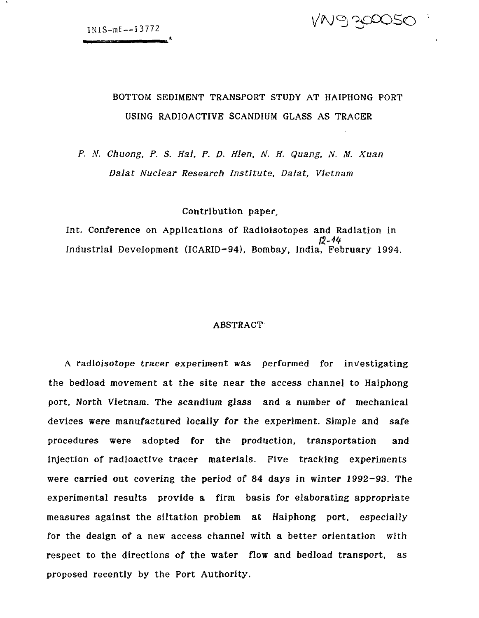

## BOTTOM SEDIMENT TRANSPORT STUDY AT HAIPHONG PORT USING RADIOACTIVE SCANDIUM GLASS AS TRACER

*P. N. Chuong, P. S. Hai, P. D. Hien, N. H. Quang, N. M. Xuan Dalat Nuclear Research Institute, Dalat, Vietnam*

Contribution paper,

Int. Conference on Applications of Radioisotopes and Radiation in<br> $12-44$ Industrial Development (ICARID-94), Bombay, India, February 1994.

### **ABSTRACT**

A radioisotope tracer experiment was performed for investigating the bedload movement at the site near the access channel to Haiphong port, North Vietnam. The scandium glass and a number of mechanical devices were manufactured locally for the experiment. Simple and safe procedures were adopted for the production, transportation and injection of radioactive tracer materials. Five tracking experiments were carried out covering the period of 84 days in winter 1992-93. The experimental results provide a firm basis for elaborating appropriate measures against the siltation problem at Haiphong port, especially for the design of a new access channel with a better orientation with respect to the directions of the water flow and bedload transport, as proposed recently by the Port Authority.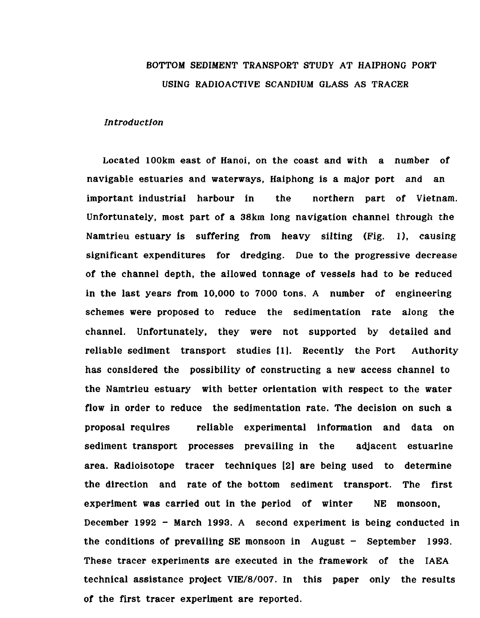## BOTTOM SEDIMENT TRANSPORT STUDY AT HAIPHONG PORT USING RADIOACTIVE SCANDIUM GLASS AS TRACER

#### *Introduction*

Located 100km east of Hanoi, on the coast and with a number of navigable estuaries and waterways, Haiphong is a major port and an important industrial harbour in the northern part of Vietnam. Unfortunately, most part of a 38km long navigation channel through the Namtrieu estuary is suffering from heavy silting (Fig. 1), causing significant expenditures for dredging. Due to the progressive decrease of the channel depth, the allowed tonnage of vessels had to be reduced in the last years from 10,000 to 7000 tons. A number of engineering schemes were proposed to reduce the sedimentation rate along the channel. Unfortunately, they were not supported by detailed and reliable sediment transport studies (1). Recently the Port Authority has considered the possibility of constructing a new access channel to the Namtrieu estuary with better orientation with respect to the water flow in order to reduce the sedimentation rate. The decision on such a proposal requires reliable experimental information and data on sediment transport processes prevailing in the adjacent estuarine area. Radioisotope tracer techniques [2] are being used to determine the direction and rate of the bottom sediment transport. The first experiment was carried out in the period of winter NE monsoon, December 1992 - March 1993. A second experiment is being conducted in the conditions of prevailing SE monsoon in August  $-$  September 1993. These tracer experiments are executed in the framework of the IAEA technical assistance project VIE/8/007. In this paper only the results of the first tracer experiment are reported.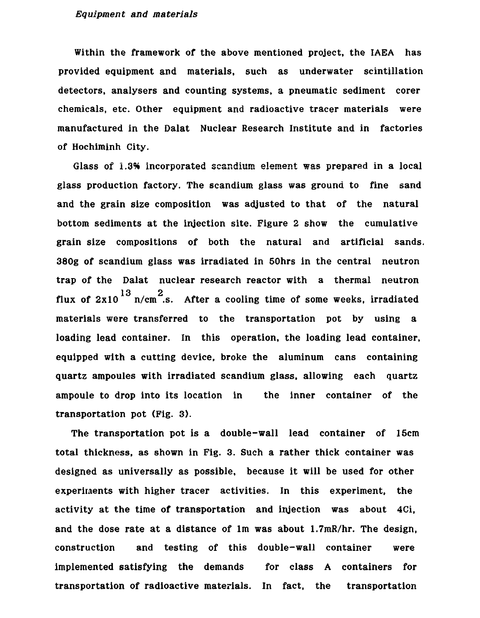#### *Equipment and materials*

Within the framework of the above mentioned project, the IAEA has provided equipment and materials, such as underwater scintillation detectors, analysers and counting systems, a pneumatic sediment corer chemicals, etc. Other equipment and radioactive tracer materials were manufactured in the Dalat Nuclear Research Institute and in factories of Hochiminh City.

Glass of 1.3% incorporated scandium element was prepared in a local glass production factory. The scandium glass was ground to fine sand and the grain size composition was adjusted to that of the natural bottom sediments at the injection site. Figure 2 show the cumulative grain size compositions of both the natural and artificial sands. 380g of scandium glass was irradiated in 50hrs in the central neutron trap of the Dalat nuclear research reactor with a thermal neutron flux of  $2x10^{13}$  n/cm<sup>2</sup>.s. After a cooling time of some weeks, irradiated materials were transferred to the transportation pot by using a loading lead container. In this operation, the loading lead container, equipped with a cutting device, broke the aluminum cans containing quartz ampoules with irradiated scandium glass, allowing each quartz ampoule to drop into its location in the inner container of the ampoule to drop into its location in the inner container of the inner container of the inner container of the i

The transportation pot is a double-wall lead container of 15cm total thickness, as shown in Fig. 3. Such a rather thick container was designed as universally as possible, because it will be used for other experiments with higher tracer activities. In this experiment, the activity at the time of transportation and injection was about 4Ci, and the dose rate at a distance of 1m was about  $1.7$ mR/hr. The design, construction and testing of this double-wall container were implemented satisfying the demands for class A containers for transportation of radioactive materials. In fact, the transportation

transportation of  $r$  radioactive materials. In fact, the transportation  $\mathcal{L}_\mathcal{A}$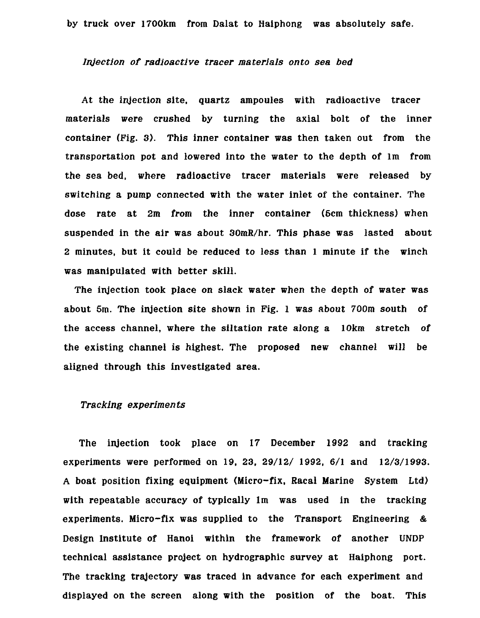#### *Injection of radioactive tracer materials onto sea bed*

At the injection site, quartz ampoules with radioactive tracer materials were crushed by turning the axial bolt of the inner container (Fig. 3). This inner container was then taken out from the transportation pot and lowered into the water to the depth of lm from the sea bed, where radioactive tracer materials were released by switching a pump connected with the water inlet of the container. The dose rate at 2m from the inner container (6cm thickness) when suspended in the air was about 30mR/hr. This phase was lasted about 2 minutes, but it could be reduced to less than 1 minute if the winch was manipulated with better skill.

The injection took place on slack water when the depth of water was about 5m. The injection site shown in Fig. 1 was about 700m south of the access channel, where the siltation rate along a 10km stretch of the existing channel is highest. The proposed new channel will be aligned through this investigated area.

## *Tracking experiments*

The injection took place on 17 December 1992 and tracking experiments were performed on 19, 23, 29/12/ 1992, 6/1 and 12/3/1993. A boat position fixing equipment (Micro-fix, Racal Marine System Ltd) with repeatable accuracy of typically lm was used in the tracking experiments. Micro-fix was supplied to the Transport Engineering & Design Institute of Hanoi within the framework of another UNDP technical assistance project on hydrographic survey at Haiphong port. The tracking trajectory was traced in advance for each experiment and displayed on the screen along with the position of the boat. This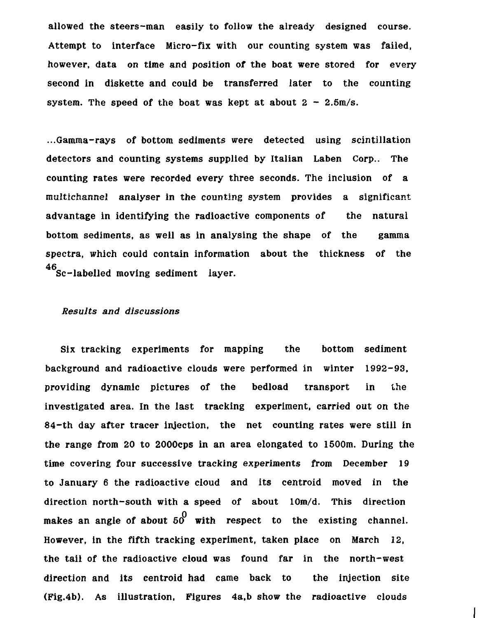allowed the steers-man easily to follow the already designed course. Attempt to interface Micro-fix with our counting system was failed, however, data on time and position of the boat were stored for every second in diskette and could be transferred later to the counting system. The speed of the boat was kept at about  $2 - 2.5$ m/s.

...Gamma-rays of bottom sediments were detected using scintillation detectors and counting systems supplied by Italian Laben Corp.. The counting rates were recorded every three seconds. The inclusion of a multichannel analyser in the counting system provides a significant advantage in identifying the radioactive components of the natural bottom sediments, as well as in analysing the shape of the gamma spectra, which could contain information about the thickness of the 46 Sc-labelled moving sediment layer.

## *Results and discussions*

Six tracking experiments for mapping the bottom sediment background and radioactive clouds were performed in winter 1992-93, providing dynamic pictures of the bedload transport in the investigated area. In the last tracking experiment, carried out on the 84-th day after tracer injection, the net counting rates were still in the range from 20 to 2000cps in an area elongated to 1500m. During the time covering four successive tracking experiments from December 19 to January 6 the radioactive cloud and its centroid moved in the direction north-south with a speed of about lOm/d. This direction makes an angle of about  $50^{\circ}$  with respect to the existing channel. However, in the fifth tracking experiment, taken place on March 12, the tail of the radioactive cloud was found far in the north-west direction and its centroid had came back to the injection site (Fig.4b). As illustration, Figures 4a,b show the radioactive clouds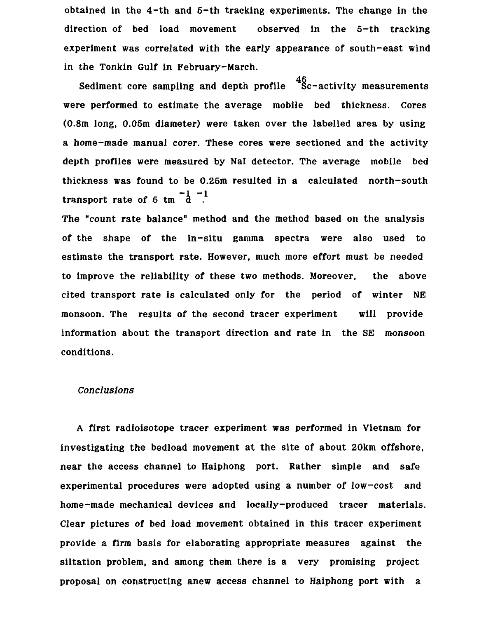obtained in the 4-th and 5-th tracking experiments. The change in the direction of bed load movement observed in the 5-th tracking experiment was correlated with the early appearance of south-east wind in the Tonkin Gulf in February-March.

Sediment core sampling and depth profile Sc-activity measurements were performed to estimate the average mobile bed thickness. Cores (0.8m long, 0.05m diameter) were taken over the labelled area by using a home-made manual corer. These cores were sectioned and the activity depth profiles were measured by Nal detector. The average mobile bed thickness was found to be 0.25m resulted in a calculated north-south transport rate of 5 tm  $\frac{-1}{d}$   $\frac{-1}{d}$ .

The "count rate balance" method and the method based on the analysis of the shape of the in-situ gamma spectra were also used to estimate the transport rate. However, much more effort must be needed to improve the reliability of these two methods. Moreover, the above cited transport rate is calculated only for the period of winter NE monsoon. The results of the second tracer experiment will provide information about the transport direction and rate in the SE monsoon conditions.

### *Conclusions*

A first radioisotope tracer experiment was performed in Vietnam for investigating the bedload movement at the site of about 20km offshore, near the access channel to Haiphong port. Rather simple and safe experimental procedures were adopted using a number of low-cost and home-made mechanical devices and locally-produced tracer materials. Clear pictures of bed load movement obtained in this tracer experiment provide a firm basis for elaborating appropriate measures against the siltation problem, and among them there is a very promising project proposal on constructing anew access channel to Haiphong port with a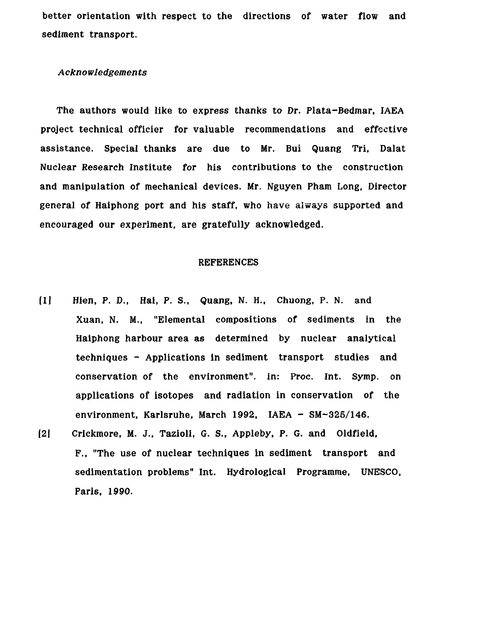better orientation with respect to the directions of water flow and sediment transport.

## *A cknowledgemen ts*

The authors would like to express thanks to Dr. Plata-Bedmar, IAEA project technical officier for valuable recommendations and effective assistance. Special thanks are due to Mr. Bui Quang Tri, Dalat Nuclear Research Institute for his contributions to the construction and manipulation of mechanical devices. Mr, Nguyen Pham Long, Director general of Haiphong port and his staff, who have always supported and encouraged our experiment, are gratefully acknowledged.

### REFERENCES

- [1] Hien, P. D., Hai, P. S., Quang, N. H., Chuong, P. N. and Xuan, N. M., "Elemental compositions of sediments in the Haiphong harbour area as determined by nuclear analytical techniques - Applications in sediment transport studies and conservation of the environment", in: Proc. Int. Symp. on applications of isotopes and radiation in conservation of the environment, Karlsruhe, March 1992, IAEA - SM-325/146.
- [21 Crickmore, M. J., Tazioli, G. S., Appleby, P. G. and Oldfield, F., "The use of nuclear techniques in sediment transport and sedimentation problems" Int. Hydrological Programme, UNESCO, Paris, 1990.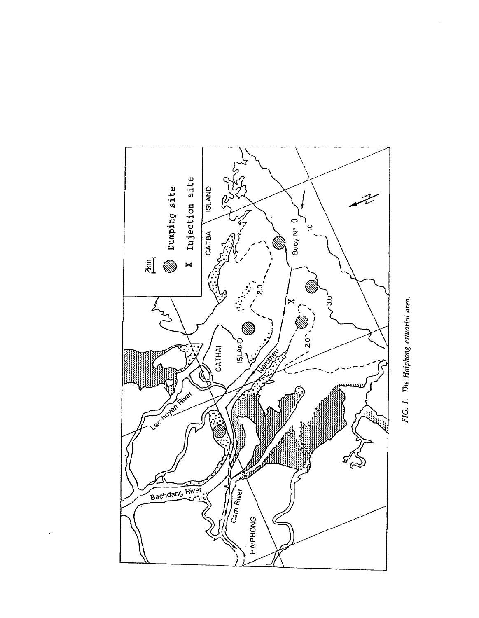

l,

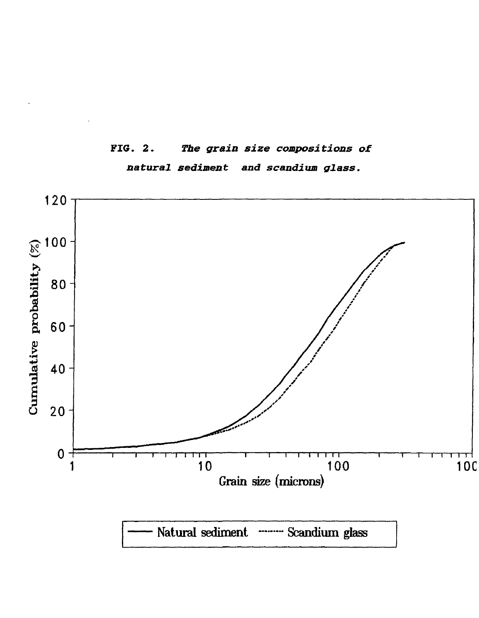

# **FIG. 2.** *The grain size compositions of natural sediment and scandium glass.*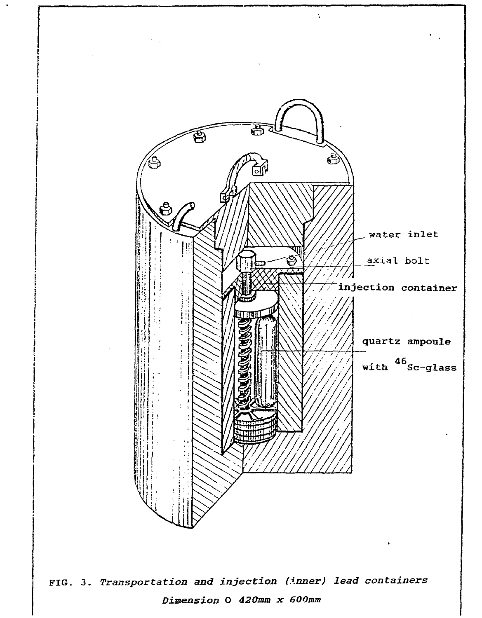